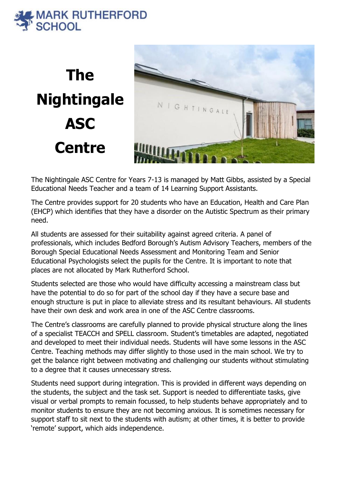## **AARK RUTHERFORD SCHOOL**

**The Nightingale ASC Centre**



The Nightingale ASC Centre for Years 7-13 is managed by Matt Gibbs, assisted by a Special Educational Needs Teacher and a team of 14 Learning Support Assistants.

The Centre provides support for 20 students who have an Education, Health and Care Plan (EHCP) which identifies that they have a disorder on the Autistic Spectrum as their primary need.

All students are assessed for their suitability against agreed criteria. A panel of professionals, which includes Bedford Borough's Autism Advisory Teachers, members of the Borough Special Educational Needs Assessment and Monitoring Team and Senior Educational Psychologists select the pupils for the Centre. It is important to note that places are not allocated by Mark Rutherford School.

Students selected are those who would have difficulty accessing a mainstream class but have the potential to do so for part of the school day if they have a secure base and enough structure is put in place to alleviate stress and its resultant behaviours. All students have their own desk and work area in one of the ASC Centre classrooms.

The Centre's classrooms are carefully planned to provide physical structure along the lines of a specialist TEACCH and SPELL classroom. Student's timetables are adapted, negotiated and developed to meet their individual needs. Students will have some lessons in the ASC Centre. Teaching methods may differ slightly to those used in the main school. We try to get the balance right between motivating and challenging our students without stimulating to a degree that it causes unnecessary stress.

Students need support during integration. This is provided in different ways depending on the students, the subject and the task set. Support is needed to differentiate tasks, give visual or verbal prompts to remain focussed, to help students behave appropriately and to monitor students to ensure they are not becoming anxious. It is sometimes necessary for support staff to sit next to the students with autism; at other times, it is better to provide 'remote' support, which aids independence.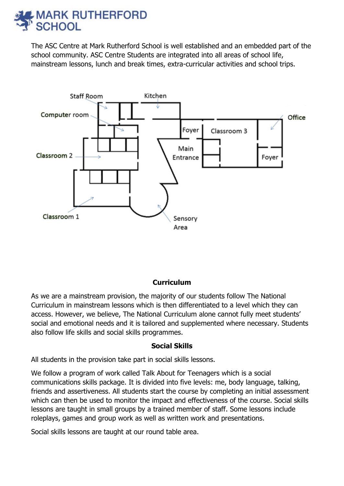## **MARK RUTHERFORD SCHOOL**

The ASC Centre at Mark Rutherford School is well established and an embedded part of the school community. ASC Centre Students are integrated into all areas of school life, mainstream lessons, lunch and break times, extra-curricular activities and school trips.



### **Curriculum**

As we are a mainstream provision, the majority of our students follow The National Curriculum in mainstream lessons which is then differentiated to a level which they can access. However, we believe, The National Curriculum alone cannot fully meet students' social and emotional needs and it is tailored and supplemented where necessary. Students also follow life skills and social skills programmes.

#### **Social Skills**

All students in the provision take part in social skills lessons.

We follow a program of work called Talk About for Teenagers which is a social communications skills package. It is divided into five levels: me, body language, talking, friends and assertiveness. All students start the course by completing an initial assessment which can then be used to monitor the impact and effectiveness of the course. Social skills lessons are taught in small groups by a trained member of staff. Some lessons include roleplays, games and group work as well as written work and presentations.

Social skills lessons are taught at our round table area.